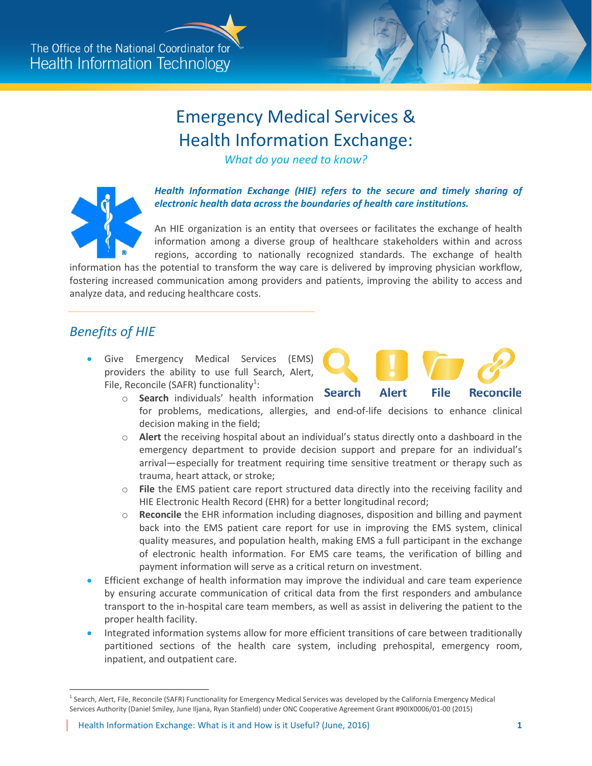## Emergency Medical Services & Health Information Exchange:

*What do you need to know?* 



**Health Information Exchange (HIE) refers to the secure and timely sharing of** *electronic health data across the boundaries of health care institutions.* 

An HIE organization is an entity that oversees or facilitates the exchange of health information among a diverse group of healthcare stakeholders within and across regions, according to nationally recognized standards. The exchange of health

information has the potential to transform the way care is delivered by improving physician workflow, fostering increased communication among providers and patients, improving the ability to access and analyze data, and reducing healthcare costs.

## *Benefits of HIE*

 Give Emergency Medical Services (EMS) providers the ability to use full Search, Alert, File, Reconcile (SAFR) functionality<sup>[1](#page-0-0)</sup>:

<span id="page-0-1"></span>

- o **Search** individuals' health information for problems, medications, allergies, and end-of-life decisions to enhance clinical decision making in the field;
- o **Alert** the receiving hospital about an individual's status directly onto a dashboard in the emergency department to provide decision support and prepare for an individual's arrival—especially for treatment requiring time sensitive treatment or therapy such as trauma, heart attack, or stroke;
- o **File** the EMS patient care report structured data directly into the receiving facility and HIE Electronic Health Record (EHR) for a better longitudinal record;
- o **Reconcile** the EHR information including diagnoses, disposition and billing and payment back into the EMS patient care report for use in improving the EMS system, clinical quality measures, and population health, making EMS a full participant in the exchange of electronic health information. For EMS care teams, the verification of billing and payment information will serve as a critical return on investment.
- Efficient exchange of health information may improve the individual and care team experience by ensuring accurate communication of critical data from the first responders and ambulance transport to the in-hospital care team members, as well as assist in delivering the patient to the proper health facility.
- Integrated information systems allow for more efficient transitions of care between traditionally partitioned sections of the health care system, including prehospital, emergency room, inpatient, and outpatient care.

 $\overline{a}$ 

<span id="page-0-0"></span><sup>&</sup>lt;sup>[1](#page-0-1)</sup> Search, Alert, File, Reconcile (SAFR) Functionality for Emergency Medical Services was developed by the California Emergency Medical Services Authority (Daniel Smiley, June Iljana, Ryan Stanfield) under ONC Cooperative Agreement Grant #90IX0006/01-00 (2015)